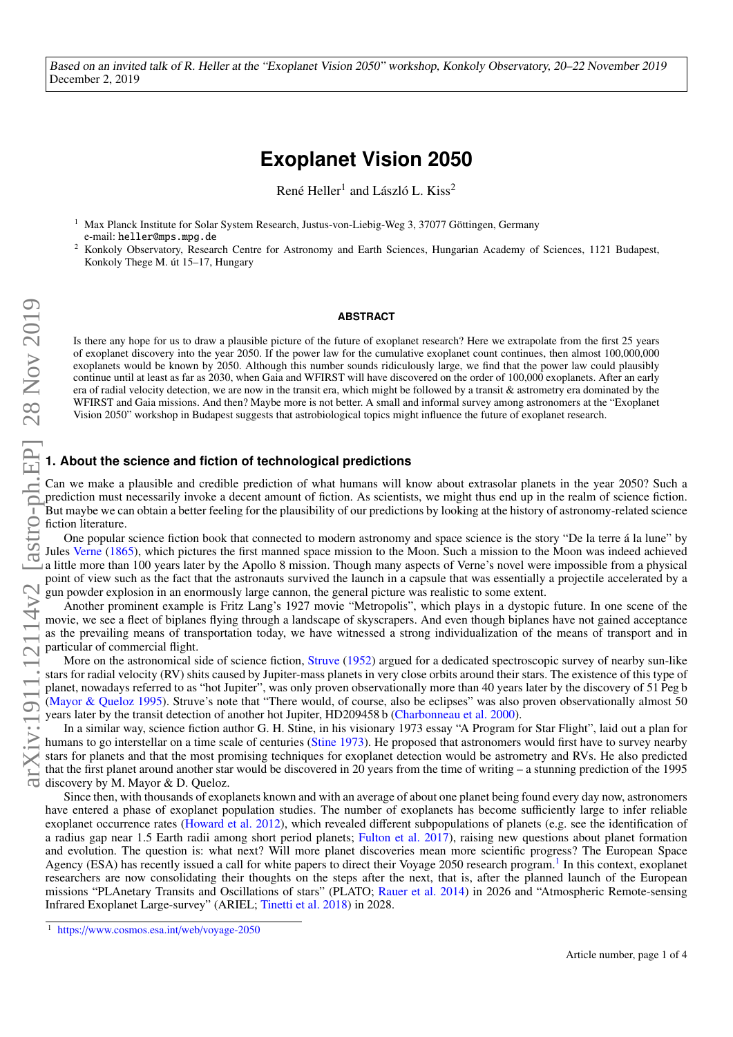Based on an invited talk of R. Heller at the "Exoplanet Vision 2050" workshop, Konkoly Observatory, 20–22 November 2019 December 2, 2019

# **Exoplanet Vision 2050**

René Heller<sup>1</sup> and László L. Kiss<sup>2</sup>

<sup>1</sup> Max Planck Institute for Solar System Research, Justus-von-Liebig-Weg 3, 37077 Göttingen, Germany e-mail: heller@mps.mpg.de

<sup>2</sup> Konkoly Observatory, Research Centre for Astronomy and Earth Sciences, Hungarian Academy of Sciences, 1121 Budapest, Konkoly Thege M. út 15–17, Hungary

#### **ABSTRACT**

Is there any hope for us to draw a plausible picture of the future of exoplanet research? Here we extrapolate from the first 25 years of exoplanet discovery into the year 2050. If the power law for the cumulative exoplanet count continues, then almost 100,000,000 exoplanets would be known by 2050. Although this number sounds ridiculously large, we find that the power law could plausibly continue until at least as far as 2030, when Gaia and WFIRST will have discovered on the order of 100,000 exoplanets. After an early era of radial velocity detection, we are now in the transit era, which might be followed by a transit & astrometry era dominated by the WFIRST and Gaia missions. And then? Maybe more is not better. A small and informal survey among astronomers at the "Exoplanet Vision 2050" workshop in Budapest suggests that astrobiological topics might influence the future of exoplanet research.

## **1. About the science and fiction of technological predictions**

Can we make a plausible and credible prediction of what humans will know about extrasolar planets in the year 2050? Such a prediction must necessarily invoke a decent amount of fiction. As scientists, we might thus end up in the realm of science fiction. But maybe we can obtain a better feeling for the plausibility of our predictions by looking at the history of astronomy-related science fiction literature.

One popular science fiction book that connected to modern astronomy and space science is the story "De la terre á la lune" by Jules [Verne](#page-3-0) [\(1865\)](#page-3-0), which pictures the first manned space mission to the Moon. Such a mission to the Moon was indeed achieved a little more than 100 years later by the Apollo 8 mission. Though many aspects of Verne's novel were impossible from a physical point of view such as the fact that the astronauts survived the launch in a capsule that was essentially a projectile accelerated by a gun powder explosion in an enormously large cannon, the general picture was realistic to some extent.

Another prominent example is Fritz Lang's 1927 movie "Metropolis", which plays in a dystopic future. In one scene of the movie, we see a fleet of biplanes flying through a landscape of skyscrapers. And even though biplanes have not gained acceptance as the prevailing means of transportation today, we have witnessed a strong individualization of the means of transport and in particular of commercial flight.

More on the astronomical side of science fiction, [Struve](#page-3-1) [\(1952\)](#page-3-1) argued for a dedicated spectroscopic survey of nearby sun-like stars for radial velocity (RV) shits caused by Jupiter-mass planets in very close orbits around their stars. The existence of this type of planet, nowadays referred to as "hot Jupiter", was only proven observationally more than 40 years later by the discovery of 51 Peg b [\(Mayor & Queloz](#page-3-2) [1995\)](#page-3-2). Struve's note that "There would, of course, also be eclipses" was also proven observationally almost 50 years later by the transit detection of another hot Jupiter, HD209458 b [\(Charbonneau et al.](#page-3-3) [2000\)](#page-3-3).

In a similar way, science fiction author G. H. Stine, in his visionary 1973 essay "A Program for Star Flight", laid out a plan for humans to go interstellar on a time scale of centuries [\(Stine](#page-3-4) [1973\)](#page-3-4). He proposed that astronomers would first have to survey nearby stars for planets and that the most promising techniques for exoplanet detection would be astrometry and RVs. He also predicted that the first planet around another star would be discovered in 20 years from the time of writing – a stunning prediction of the 1995 discovery by M. Mayor & D. Queloz.

Since then, with thousands of exoplanets known and with an average of about one planet being found every day now, astronomers have entered a phase of exoplanet population studies. The number of exoplanets has become sufficiently large to infer reliable exoplanet occurrence rates [\(Howard et al.](#page-3-5) [2012\)](#page-3-5), which revealed different subpopulations of planets (e.g. see the identification of a radius gap near 1.5 Earth radii among short period planets; [Fulton et al.](#page-3-6) [2017\)](#page-3-6), raising new questions about planet formation and evolution. The question is: what next? Will more planet discoveries mean more scientific progress? The European Space Agency (ESA) has recently issued a call for white papers to direct their Voyage 2050 research program.<sup>[1](#page-0-0)</sup> In this context, exoplanet researchers are now consolidating their thoughts on the steps after the next, that is, after the planned launch of the European missions "PLAnetary Transits and Oscillations of stars" (PLATO; [Rauer et al.](#page-3-7) [2014\)](#page-3-7) in 2026 and "Atmospheric Remote-sensing Infrared Exoplanet Large-survey" (ARIEL; [Tinetti et al.](#page-3-8) [2018\)](#page-3-8) in 2028.

<span id="page-0-0"></span><sup>1</sup> https://[www.cosmos.esa.int](https://www.cosmos.esa.int/web/voyage-2050)/web/voyage-2050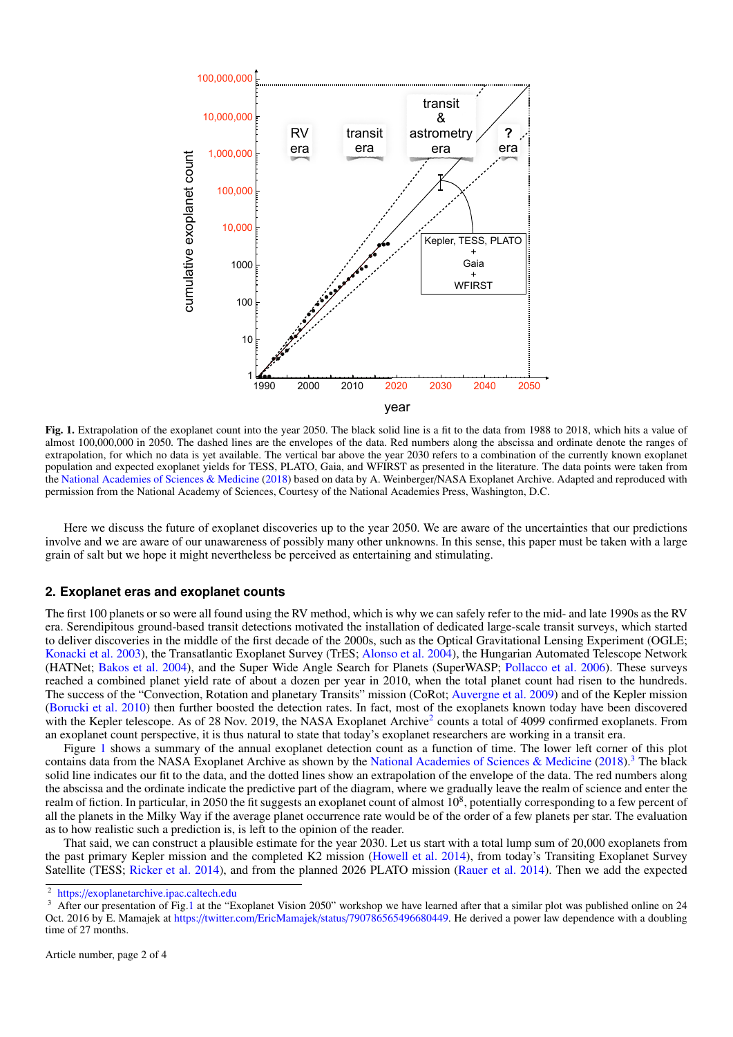

<span id="page-1-1"></span>almost 100,000,000 in 2050. The dashed lines are the envelopes of the data. Red numbers along the abscissa and ordinate denote the ranges of extrapolation, for which no data is yet available. The vertical bar above the year 2030 refers to a combination of the currently known exoplanet population and expected exoplanet yields for TESS, PLATO, Gaia, and WFIRST as presented in the literature. The data points were taken from the [National Academies of Sciences & Medicine](#page-3-9) [\(2018\)](#page-3-9) based on data by A. Weinberger/NASA Exoplanet Archive. Adapted and reproduced with permission from the National Academy of Sciences, Courtesy of the National Academies Press, Washington, D.C. Fig. 1. Extrapolation of the exoplanet count into the year 2050. The black solid line is a fit to the data from 1988 to 2018, which hits a value of

Here we discuss the future of exoplanet discoveries up to the year 2050. We are aware of the uncertainties that our predictions involve and we are aware of our unawareness of possibly many other unknowns. In this sense, this paper must be taken with a large grain of salt but we hope it might nevertheless be perceived as entertaining and stimulating.

# 2. Exoplanet eras and exoplanet counts

reached a combined planet yield rate of about a dozen per year in 2010, when the total planet count had risen to the hundreds. The first 100 planets or so were all found using the RV method, which is why we can safely refer to the mid- and late 1990s as the RV era. Serendipitous ground-based transit detections motivated the installation of dedicated large-scale transit surveys, which started to deliver discoveries in the middle of the first decade of the 2000s, such as the Optical Gravitational Lensing Experiment (OGLE; [Konacki et al.](#page-3-10) [2003\)](#page-3-10), the Transatlantic Exoplanet Survey (TrES; [Alonso et al.](#page-3-11) [2004\)](#page-3-11), the Hungarian Automated Telescope Network (HATNet; [Bakos et al.](#page-3-12) [2004\)](#page-3-12), and the Super Wide Angle Search for Planets (SuperWASP; [Pollacco et al.](#page-3-13) [2006\)](#page-3-13). These surveys The success of the "Convection, Rotation and planetary Transits" mission (CoRot; [Auvergne et al.](#page-3-14) [2009\)](#page-3-14) and of the Kepler mission [\(Borucki et al.](#page-3-15) [2010\)](#page-3-15) then further boosted the detection rates. In fact, most of the exoplanets known today have been discovered with the Kepler telescope. As of [2](#page-1-0)8 Nov. 2019, the NASA Exoplanet Archive<sup>2</sup> counts a total of 4099 confirmed exoplanets. From an exoplanet count perspective, it is thus natural to state that today's exoplanet researchers are working in a transit era.

Figure [1](#page-1-1) shows a summary of the annual exoplanet detection count as a function of time. The lower left corner of this plot contains data from the NASA Exoplanet Archive as shown by the [National Academies of Sciences & Medicine](#page-3-9) [\(2018\)](#page-3-9).<sup>[3](#page-1-2)</sup> The black solid line indicates our fit to the data, and the dotted lines show an extrapolation of the envelope of the data. The red numbers along the abscissa and the ordinate indicate the predictive part of the diagram, where we gradually leave the realm of science and enter the realm of fiction. In particular, in 2050 the fit suggests an exoplanet count of almost  $10^8$ , potentially corresponding to a few percent of all the planets in the Milky Way if the average planet occurrence rate would be of the order of a few planets per star. The evaluation as to how realistic such a prediction is, is left to the opinion of the reader.

That said, we can construct a plausible estimate for the year 2030. Let us start with a total lump sum of 20,000 exoplanets from the past primary Kepler mission and the completed K2 mission [\(Howell et al.](#page-3-16) [2014\)](#page-3-16), from today's Transiting Exoplanet Survey Satellite (TESS; [Ricker et al.](#page-3-17) [2014\)](#page-3-17), and from the planned 2026 PLATO mission [\(Rauer et al.](#page-3-7) [2014\)](#page-3-7). Then we add the expected

<span id="page-1-0"></span><sup>2</sup> https://[exoplanetarchive.ipac.caltech.edu](https://exoplanetarchive.ipac.caltech.edu/)

<span id="page-1-2"></span><sup>3</sup> After our presentation of Fig[.1](#page-1-1) at the "Exoplanet Vision 2050" workshop we have learned after that a similar plot was published online on 24 Oct. 2016 by E. Mamajek at https://twitter.com/EricMamajek/status/[790786565496680449.](https://twitter.com/EricMamajek/status/790786565496680449) He derived a power law dependence with a doubling time of 27 months.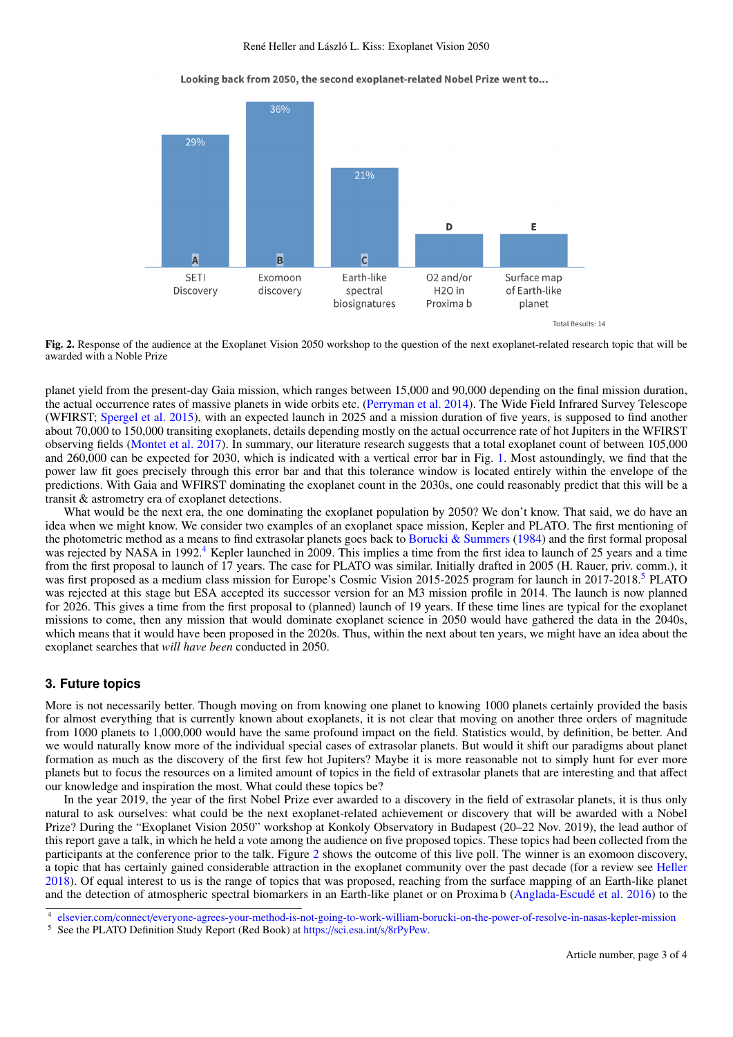Looking back from 2050, the second exoplanet-related Nobel Prize went to...



<span id="page-2-2"></span>Fig. 2. Response of the audience at the Exoplanet Vision 2050 workshop to the question of the next exoplanet-related research topic that will be awarded with a Noble Prize

planet yield from the present-day Gaia mission, which ranges between 15,000 and 90,000 depending on the final mission duration, the actual occurrence rates of massive planets in wide orbits etc. [\(Perryman et al.](#page-3-18) [2014\)](#page-3-18). The Wide Field Infrared Survey Telescope (WFIRST; [Spergel et al.](#page-3-19) [2015\)](#page-3-19), with an expected launch in 2025 and a mission duration of five years, is supposed to find another about 70,000 to 150,000 transiting exoplanets, details depending mostly on the actual occurrence rate of hot Jupiters in the WFIRST observing fields [\(Montet et al.](#page-3-20) [2017\)](#page-3-20). In summary, our literature research suggests that a total exoplanet count of between 105,000 and 260,000 can be expected for 2030, which is indicated with a vertical error bar in Fig. [1.](#page-1-1) Most astoundingly, we find that the power law fit goes precisely through this error bar and that this tolerance window is located entirely within the envelope of the predictions. With Gaia and WFIRST dominating the exoplanet count in the 2030s, one could reasonably predict that this will be a transit & astrometry era of exoplanet detections.

What would be the next era, the one dominating the exoplanet population by 2050? We don't know. That said, we do have an idea when we might know. We consider two examples of an exoplanet space mission, Kepler and PLATO. The first mentioning of the photometric method as a means to find extrasolar planets goes back to [Borucki & Summers](#page-3-21) [\(1984\)](#page-3-21) and the first formal proposal was rejected by NASA in 1992.<sup>[4](#page-2-0)</sup> Kepler launched in 2009. This implies a time from the first idea to launch of 25 years and a time from the first proposal to launch of 17 years. The case for PLATO was similar. Initially drafted in 2005 (H. Rauer, priv. comm.), it was first proposed as a medium class mission for Europe's Cosmic Vision 201[5](#page-2-1)-2025 program for launch in 2017-2018.<sup>5</sup> PLATO was rejected at this stage but ESA accepted its successor version for an M3 mission profile in 2014. The launch is now planned for 2026. This gives a time from the first proposal to (planned) launch of 19 years. If these time lines are typical for the exoplanet missions to come, then any mission that would dominate exoplanet science in 2050 would have gathered the data in the 2040s, which means that it would have been proposed in the 2020s. Thus, within the next about ten years, we might have an idea about the exoplanet searches that *will have been* conducted in 2050.

### **3. Future topics**

More is not necessarily better. Though moving on from knowing one planet to knowing 1000 planets certainly provided the basis for almost everything that is currently known about exoplanets, it is not clear that moving on another three orders of magnitude from 1000 planets to 1,000,000 would have the same profound impact on the field. Statistics would, by definition, be better. And we would naturally know more of the individual special cases of extrasolar planets. But would it shift our paradigms about planet formation as much as the discovery of the first few hot Jupiters? Maybe it is more reasonable not to simply hunt for ever more planets but to focus the resources on a limited amount of topics in the field of extrasolar planets that are interesting and that affect our knowledge and inspiration the most. What could these topics be?

In the year 2019, the year of the first Nobel Prize ever awarded to a discovery in the field of extrasolar planets, it is thus only natural to ask ourselves: what could be the next exoplanet-related achievement or discovery that will be awarded with a Nobel Prize? During the "Exoplanet Vision 2050" workshop at Konkoly Observatory in Budapest (20–22 Nov. 2019), the lead author of this report gave a talk, in which he held a vote among the audience on five proposed topics. These topics had been collected from the participants at the conference prior to the talk. Figure [2](#page-2-2) shows the outcome of this live poll. The winner is an exomoon discovery, a topic that has certainly gained considerable attraction in the exoplanet community over the past decade (for a review see [Heller](#page-3-22) [2018\)](#page-3-22). Of equal interest to us is the range of topics that was proposed, reaching from the surface mapping of an Earth-like planet and the detection of atmospheric spectral biomarkers in an Earth-like planet or on Proxima b [\(Anglada-Escudé et al.](#page-3-23) [2016\)](#page-3-23) to the

<span id="page-2-0"></span><sup>4</sup> elsevier.com/connect/[everyone-agrees-your-method-is-not-going-to-work-william-borucki-on-the-power-of-resolve-in-nasas-kepler-mission](https://www.elsevier.com/connect/everyone-agrees-your-method-is-not-going-to-work-william-borucki-on-the-power-of-resolve-in-nasas-kepler-mission)

<span id="page-2-1"></span><sup>5</sup> See the PLATO Definition Study Report (Red Book) at https://[sci.esa.int](https://sci.esa.int/s/8rPyPew)/s/8rPyPew.